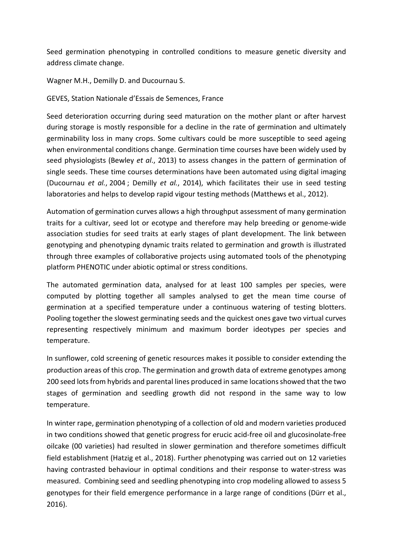Seed germination phenotyping in controlled conditions to measure genetic diversity and address climate change.

Wagner M.H., Demilly D. and Ducournau S.

GEVES, Station Nationale d'Essais de Semences, France

Seed deterioration occurring during seed maturation on the mother plant or after harvest during storage is mostly responsible for a decline in the rate of germination and ultimately germinability loss in many crops. Some cultivars could be more susceptible to seed ageing when environmental conditions change. Germination time courses have been widely used by seed physiologists (Bewley *et al*., 2013) to assess changes in the pattern of germination of single seeds. These time courses determinations have been automated using digital imaging (Ducournau *et al.*, 2004 ; Demilly *et al.*, 2014), which facilitates their use in seed testing laboratories and helps to develop rapid vigour testing methods (Matthews et al., 2012).

Automation of germination curves allows a high throughput assessment of many germination traits for a cultivar, seed lot or ecotype and therefore may help breeding or genome-wide association studies for seed traits at early stages of plant development. The link between genotyping and phenotyping dynamic traits related to germination and growth is illustrated through three examples of collaborative projects using automated tools of the phenotyping platform PHENOTIC under abiotic optimal or stress conditions.

The automated germination data, analysed for at least 100 samples per species, were computed by plotting together all samples analysed to get the mean time course of germination at a specified temperature under a continuous watering of testing blotters. Pooling together the slowest germinating seeds and the quickest ones gave two virtual curves representing respectively minimum and maximum border ideotypes per species and temperature.

In sunflower, cold screening of genetic resources makes it possible to consider extending the production areas of this crop. The germination and growth data of extreme genotypes among 200 seed lots from hybrids and parental lines produced in same locationsshowed that the two stages of germination and seedling growth did not respond in the same way to low temperature.

In winter rape, germination phenotyping of a collection of old and modern varieties produced in two conditions showed that genetic progress for erucic acid-free oil and glucosinolate-free oilcake (00 varieties) had resulted in slower germination and therefore sometimes difficult field establishment (Hatzig et al., 2018). Further phenotyping was carried out on 12 varieties having contrasted behaviour in optimal conditions and their response to water-stress was measured. Combining seed and seedling phenotyping into crop modeling allowed to assess 5 genotypes for their field emergence performance in a large range of conditions (Dürr et al., 2016).